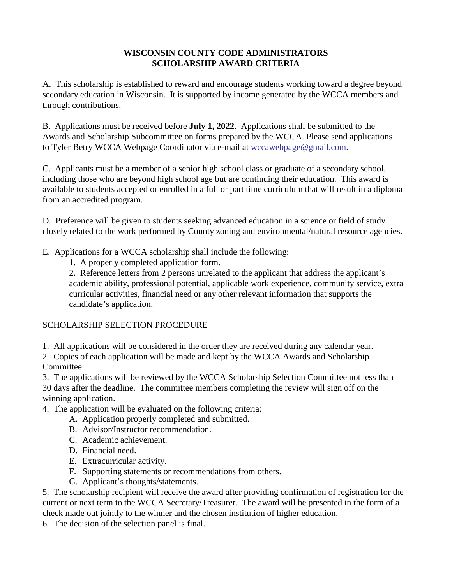#### **WISCONSIN COUNTY CODE ADMINISTRATORS SCHOLARSHIP AWARD CRITERIA**

A. This scholarship is established to reward and encourage students working toward a degree beyond secondary education in Wisconsin. It is supported by income generated by the WCCA members and through contributions.

B. Applications must be received before **July 1, 2022**. Applications shall be submitted to the Awards and Scholarship Subcommittee on forms prepared by the WCCA. Please send applications to Tyler Betry WCC[A Webpage Coordinator via e-m](mailto:wccaprofessional@gmail.com)ail at wccawebpage@gmail.com.

C. Applicants must be a member of a senior high school class or graduate of a secondary school, including those who are beyond high school age but are continuing their education. This award is available to students accepted or enrolled in a full or part time curriculum that will result in a diploma from an accredited program.

D. Preference will be given to students seeking advanced education in a science or field of study closely related to the work performed by County zoning and environmental/natural resource agencies.

- E. Applications for a WCCA scholarship shall include the following:
	- 1. A properly completed application form.

2. Reference letters from 2 persons unrelated to the applicant that address the applicant's academic ability, professional potential, applicable work experience, community service, extra curricular activities, financial need or any other relevant information that supports the candidate's application.

## SCHOLARSHIP SELECTION PROCEDURE

1. All applications will be considered in the order they are received during any calendar year.

2. Copies of each application will be made and kept by the WCCA Awards and Scholarship Committee.

3. The applications will be reviewed by the WCCA Scholarship Selection Committee not less than 30 days after the deadline. The committee members completing the review will sign off on the winning application.

- 4. The application will be evaluated on the following criteria:
	- A. Application properly completed and submitted.
	- B. Advisor/Instructor recommendation.
	- C. Academic achievement.
	- D. Financial need.
	- E. Extracurricular activity.
	- F. Supporting statements or recommendations from others.
	- G. Applicant's thoughts/statements.

5. The scholarship recipient will receive the award after providing confirmation of registration for the current or next term to the WCCA Secretary/Treasurer. The award will be presented in the form of a check made out jointly to the winner and the chosen institution of higher education.

6. The decision of the selection panel is final.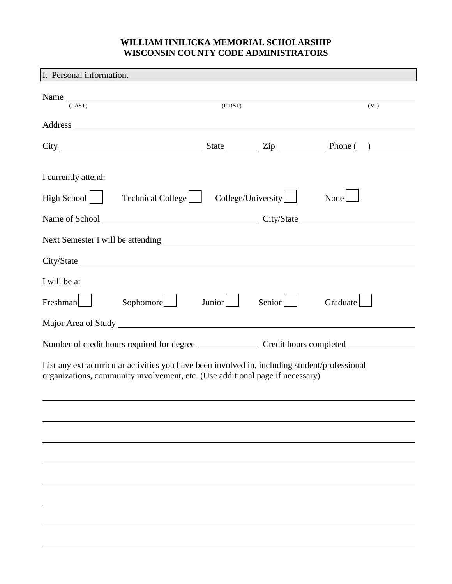## **WILLIAM HNILICKA MEMORIAL SCHOLARSHIP WISCONSIN COUNTY CODE ADMINISTRATORS**

| I. Personal information.                                                                                                                                                       |         |        |          |  |
|--------------------------------------------------------------------------------------------------------------------------------------------------------------------------------|---------|--------|----------|--|
| Name<br>(LAST)                                                                                                                                                                 | (FIRST) |        | (MI)     |  |
|                                                                                                                                                                                |         |        |          |  |
|                                                                                                                                                                                |         |        |          |  |
| I currently attend:                                                                                                                                                            |         |        |          |  |
| Technical College   College/University<br>High School                                                                                                                          |         |        | None     |  |
|                                                                                                                                                                                |         |        |          |  |
| Next Semester I will be attending Next Semester I will be attending                                                                                                            |         |        |          |  |
|                                                                                                                                                                                |         |        |          |  |
| I will be a:                                                                                                                                                                   |         |        |          |  |
| Sophomore<br>$Freshman$                                                                                                                                                        | Junior  | Senior | Graduate |  |
|                                                                                                                                                                                |         |        |          |  |
|                                                                                                                                                                                |         |        |          |  |
| List any extracurricular activities you have been involved in, including student/professional<br>organizations, community involvement, etc. (Use additional page if necessary) |         |        |          |  |
|                                                                                                                                                                                |         |        |          |  |
|                                                                                                                                                                                |         |        |          |  |
|                                                                                                                                                                                |         |        |          |  |
|                                                                                                                                                                                |         |        |          |  |
|                                                                                                                                                                                |         |        |          |  |
|                                                                                                                                                                                |         |        |          |  |
|                                                                                                                                                                                |         |        |          |  |
|                                                                                                                                                                                |         |        |          |  |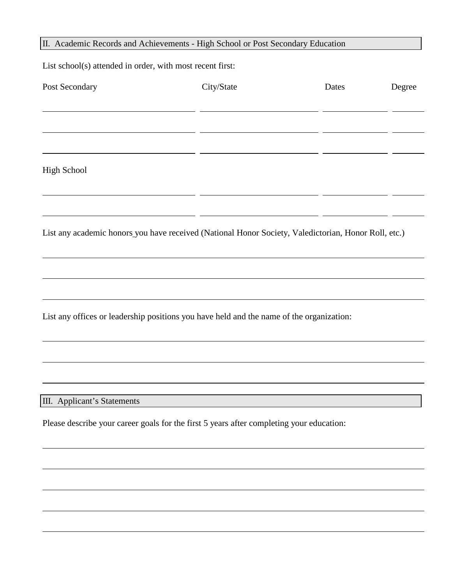# II. Academic Records and Achievements - High School or Post Secondary Education

List school(s) attended in order, with most recent first:

| Post Secondary                                                                                       | City/State | Dates | Degree |  |  |  |
|------------------------------------------------------------------------------------------------------|------------|-------|--------|--|--|--|
|                                                                                                      |            |       |        |  |  |  |
|                                                                                                      |            |       |        |  |  |  |
| <b>High School</b>                                                                                   |            |       |        |  |  |  |
|                                                                                                      |            |       |        |  |  |  |
| List any academic honors you have received (National Honor Society, Valedictorian, Honor Roll, etc.) |            |       |        |  |  |  |
|                                                                                                      |            |       |        |  |  |  |
|                                                                                                      |            |       |        |  |  |  |
| List any offices or leadership positions you have held and the name of the organization:             |            |       |        |  |  |  |
|                                                                                                      |            |       |        |  |  |  |
|                                                                                                      |            |       |        |  |  |  |
| III. Applicant's Statements                                                                          |            |       |        |  |  |  |
| Please describe your career goals for the first 5 years after completing your education:             |            |       |        |  |  |  |
|                                                                                                      |            |       |        |  |  |  |